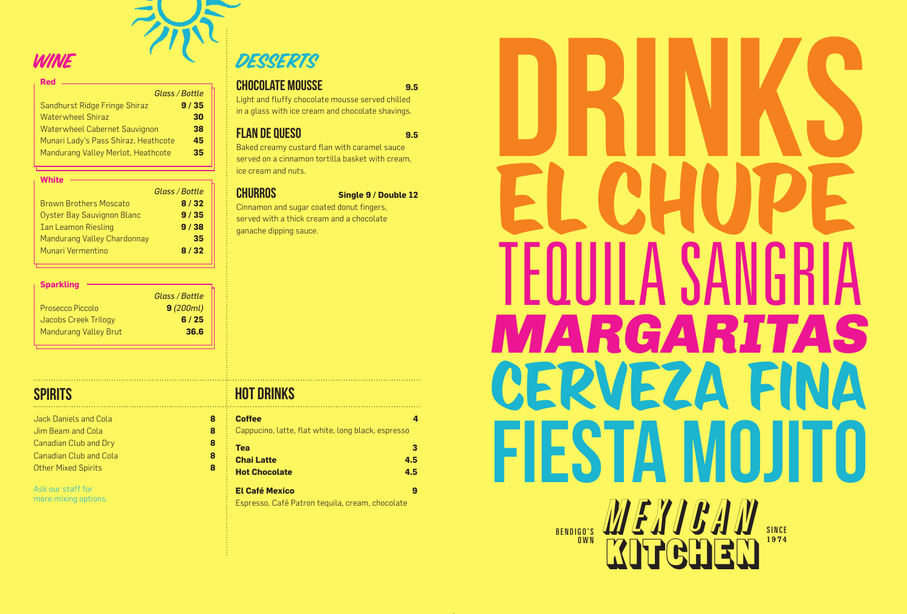

| <b>Red</b>                           |                |
|--------------------------------------|----------------|
|                                      | Glass / Bottle |
| Sandhurst Ridge Fringe Shiraz        | 9/35           |
| Waterwheel Shiraz                    | 30             |
| Waterwheel Cabernet Sauvignon        | 38             |
| Munari Lady's Pass Shiraz, Heathcote | 45             |
| Mandurang Valley Merlot, Heathcote   | 35             |
|                                      |                |

### **White**

|                                   | Glass / Bottle |
|-----------------------------------|----------------|
| <b>Brown Brothers Moscato</b>     | 8/32           |
| <b>Oyster Bay Sauvignon Blanc</b> | 9/35           |
| <b>Ian Leamon Riesling</b>        | 9/38           |
| Mandurang Valley Chardonnay       | 35             |
| Munari Vermentino                 | 8/32           |
|                                   |                |

| <b>Sparkling</b>             |                |
|------------------------------|----------------|
|                              | Glass / Bottle |
| Prosecco Piccolo             | 9(200ml)       |
| Jacobs Creek Trilogy         | 6/25           |
| <b>Mandurang Valley Brut</b> | 36.6           |
|                              |                |

Jim Beam and Cola **8** Canadian Club and Dry **8** Canadian Club and Cola **8** Other Mixed Spirits **8**

Ask our staff for more mixing options.

| <b>CHOCOLATE MOUSSE</b><br>9.5                                                                        |
|-------------------------------------------------------------------------------------------------------|
| Light and fluffy chocolate mousse served chilled<br>in a glass with ice cream and chocolate shavings. |
| <b>FLAN DE QUESO</b>                                                                                  |

Baked creamy custard flan with caramel sauce served on a cinnamon tortilla basket with cream, ice cream and nuts.

**CHURROS** Single 9 / Double 12

Cinnamon and sugar coated donut fingers, served with a thick cream and a chocolate ganache dipping sauce.

# SPIRITS HOT DRINKS

| <b>Coffee</b>                                      |     |
|----------------------------------------------------|-----|
| Cappucino, latte, flat white, long black, espresso |     |
| Tea                                                | з   |
| <b>Chai Latte</b>                                  | 4.5 |
| <b>Hot Chocolate</b>                               | 4.5 |
| <b>El Café Mexico</b>                              | g   |
| Espresso, Café Patron tequila, cream, chocolate    |     |